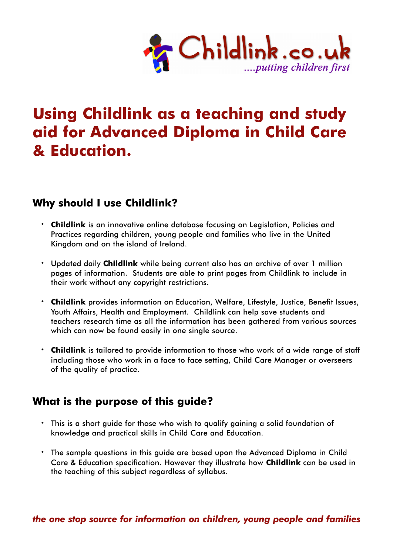

# **Using Childlink as a teaching and study aid for Advanced Diploma in Child Care & Education.**

# **Why should I use Childlink?**

- **· Childlink** is an innovative online database focusing on Legislation, Policies and Practices regarding children, young people and families who live in the United Kingdom and on the island of Ireland.
- **·** Updated daily **Childlink** while being current also has an archive of over 1 million pages of information. Students are able to print pages from Childlink to include in their work without any copyright restrictions.
- **· Childlink** provides information on Education, Welfare, Lifestyle, Justice, Benefit Issues, Youth Affairs, Health and Employment. Childlink can help save students and teachers research time as all the information has been gathered from various sources which can now be found easily in one single source.
- **· Childlink** is tailored to provide information to those who work of a wide range of staff including those who work in a face to face setting, Child Care Manager or overseers of the quality of practice.

# **What is the purpose of this guide?**

- **·** This is a short guide for those who wish to qualify gaining a solid foundation of knowledge and practical skills in Child Care and Education.
- **·** The sample questions in this guide are based upon the Advanced Diploma in Child Care & Education specification. However they illustrate how **Childlink** can be used in the teaching of this subject regardless of syllabus.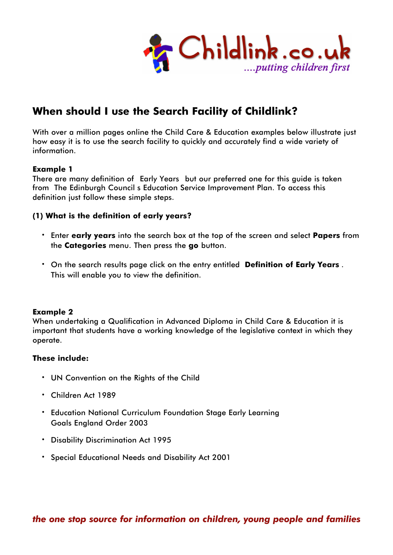

# **When should I use the Search Facility of Childlink?**

With over a million pages online the Child Care & Education examples below illustrate just how easy it is to use the search facility to quickly and accurately find a wide variety of information.

### **Example 1**

There are many definition of Early Years but our preferred one for this guide is taken from The Edinburgh Council's Education Service Improvement Plan. To access this definition just follow these simple steps.

### **(1) What is the definition of early years?**

- **·** Enter **early years** into the search box at the top of the screen and select **Papers** from the **Categories** menu. Then press the **go** button.
- **·** On the search results page click on the entry entitled **'Definition of Early Years** . This will enable you to view the definition.

### **Example 2**

When undertaking a Qualification in Advanced Diploma in Child Care & Education it is important that students have a working knowledge of the legislative context in which they operate.

### **These include:**

- **·** UN Convention on the Rights of the Child
- **·** Children Act 1989
- **·** Education National Curriculum Foundation Stage Early Learning Goals England Order 2003
- **·** Disability Discrimination Act 1995
- **·** Special Educational Needs and Disability Act 2001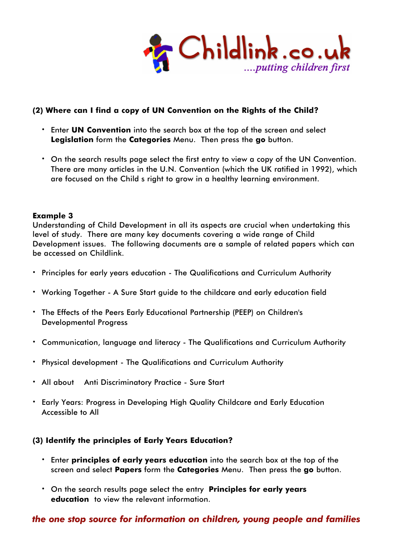

### **(2) Where can I find a copy of UN Convention on the Rights of the Child?**

- **·** Enter **UN Convention** into the search box at the top of the screen and select **Legislation** form the **Categories** Menu. Then press the **go** button.
- **·** On the search results page select the first entry to view a copy of the UN Convention. There are many articles in the U.N. Convention (which the UK ratified in 1992), which are focused on the Child's right to grow in a healthy learning environment.

### **Example 3**

Understanding of Child Development in all its aspects are crucial when undertaking this level of study. There are many key documents covering a wide range of Child Development issues. The following documents are a sample of related papers which can be accessed on Childlink.

- **·** Principles for early years education The Qualifications and Curriculum Authority
- **·** Working Together A Sure Start guide to the childcare and early education field
- **·** The Effects of the Peers Early Educational Partnership (PEEP) on Children's Developmental Progress
- **·** Communication, language and literacy The Qualifications and Curriculum Authority
- **·** Physical development The Qualifications and Curriculum Authority
- **·** All about… Anti Discriminatory Practice Sure Start
- **·** Early Years: Progress in Developing High Quality Childcare and Early Education Accessible to All

### **(3) Identify the principles of Early Years Education?**

- **·** Enter **principles of early years education** into the search box at the top of the screen and select **Papers** form the **Categories** Menu. Then press the **go** button.
- **·** On the search results page select the entry **'Principles for early years education'** to view the relevant information.

## *the one stop source for information on children, young people and families*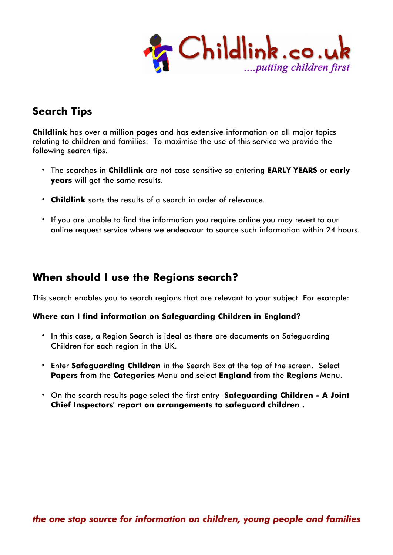

# **Search Tips**

**Childlink** has over a million pages and has extensive information on all major topics relating to children and families. To maximise the use of this service we provide the following search tips.

- **·** The searches in **Childlink** are not case sensitive so entering **EARLY YEARS** or **early years** will get the same results.
- **· Childlink** sorts the results of a search in order of relevance.
- **·** If you are unable to find the information you require online you may revert to our online request service where we endeavour to source such information within 24 hours.

# **When should I use the Regions search?**

This search enables you to search regions that are relevant to your subject. For example:

### **Where can I find information on Safeguarding Children in England?**

- **·** In this case, a Region Search is ideal as there are documents on Safeguarding Children for each region in the UK.
- **·** Enter **Safeguarding Children** in the Search Box at the top of the screen. Select **Papers** from the **Categories** Menu and select **England** from the **Regions** Menu.
- **·** On the search results page select the first entry **'Safeguarding Children A Joint Chief Inspectors' report on arrangements to safeguard children'.**